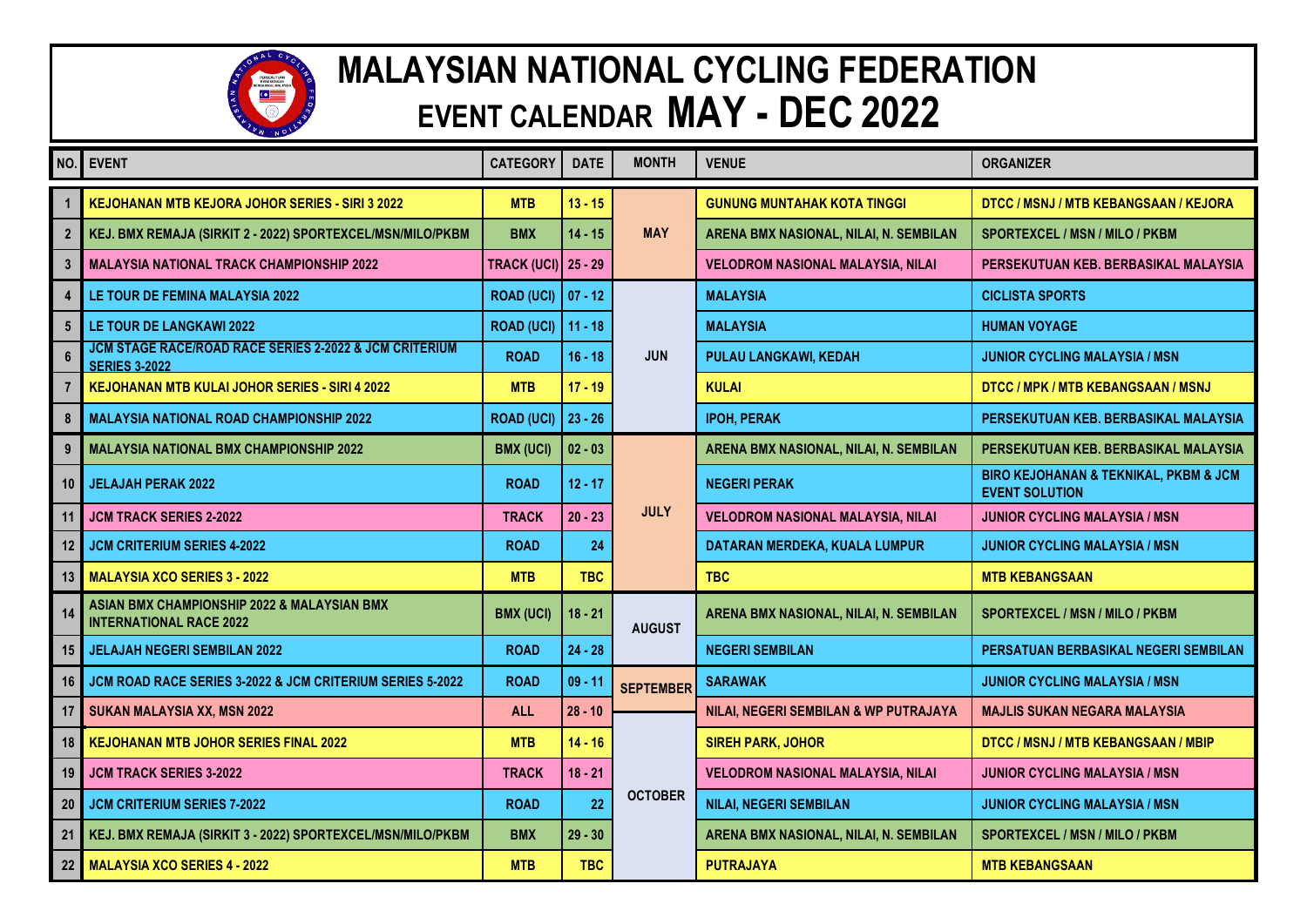

## **MALAYSIAN NATIONAL CYCLING FEDERATION EVENT CALENDAR MAY - DEC 2022**

| NO.             | <b>EVENT</b>                                                                              | <b>CATEGORY</b>            | <b>DATE</b> | <b>MONTH</b>     | <b>VENUE</b>                             | <b>ORGANIZER</b>                                                              |
|-----------------|-------------------------------------------------------------------------------------------|----------------------------|-------------|------------------|------------------------------------------|-------------------------------------------------------------------------------|
|                 | <b>KEJOHANAN MTB KEJORA JOHOR SERIES - SIRI 3 2022</b>                                    | <b>MTB</b>                 | $13 - 15$   | <b>MAY</b>       | <b>GUNUNG MUNTAHAK KOTA TINGGI</b>       | DTCC / MSNJ / MTB KEBANGSAAN / KEJORA                                         |
| $\overline{2}$  | KEJ. BMX REMAJA (SIRKIT 2 - 2022) SPORTEXCEL/MSN/MILO/PKBM                                | <b>BMX</b>                 | $14 - 15$   |                  | ARENA BMX NASIONAL, NILAI, N. SEMBILAN   | <b>SPORTEXCEL / MSN / MILO / PKBM</b>                                         |
| $\overline{3}$  | <b>MALAYSIA NATIONAL TRACK CHAMPIONSHIP 2022</b>                                          | <b>TRACK (UCI)</b> 25 - 29 |             |                  | <b>VELODROM NASIONAL MALAYSIA, NILAI</b> | PERSEKUTUAN KEB. BERBASIKAL MALAYSIA                                          |
| 4               | LE TOUR DE FEMINA MALAYSIA 2022                                                           | <b>ROAD (UCI) 07 - 12</b>  |             | <b>JUN</b>       | <b>MALAYSIA</b>                          | <b>CICLISTA SPORTS</b>                                                        |
| $5\phantom{.0}$ | LE TOUR DE LANGKAWI 2022                                                                  | <b>ROAD (UCI)</b>          | $11 - 18$   |                  | <b>MALAYSIA</b>                          | <b>HUMAN VOYAGE</b>                                                           |
|                 | <b>JCM STAGE RACE/ROAD RACE SERIES 2-2022 &amp; JCM CRITERIUM</b><br><b>SERIES 3-2022</b> | <b>ROAD</b>                | $16 - 18$   |                  | PULAU LANGKAWI, KEDAH                    | <b>JUNIOR CYCLING MALAYSIA / MSN</b>                                          |
|                 | KEJOHANAN MTB KULAI JOHOR SERIES - SIRI 4 2022                                            | <b>MTB</b>                 | $17 - 19$   |                  | <b>KULAI</b>                             | DTCC / MPK / MTB KEBANGSAAN / MSNJ                                            |
| 8               | <b>MALAYSIA NATIONAL ROAD CHAMPIONSHIP 2022</b>                                           | <b>ROAD (UCI)</b>          | $23 - 26$   |                  | <b>IPOH, PERAK</b>                       | PERSEKUTUAN KEB. BERBASIKAL MALAYSIA                                          |
| 9               | <b>MALAYSIA NATIONAL BMX CHAMPIONSHIP 2022</b>                                            | <b>BMX (UCI)</b>           | $02 - 03$   | <b>JULY</b>      | ARENA BMX NASIONAL, NILAI, N. SEMBILAN   | PERSEKUTUAN KEB. BERBASIKAL MALAYSIA                                          |
| 10              | <b>JELAJAH PERAK 2022</b>                                                                 | <b>ROAD</b>                | $12 - 17$   |                  | <b>NEGERI PERAK</b>                      | <b>BIRO KEJOHANAN &amp; TEKNIKAL, PKBM &amp; JCM</b><br><b>EVENT SOLUTION</b> |
| 11              | <b>JCM TRACK SERIES 2-2022</b>                                                            | <b>TRACK</b>               | $20 - 23$   |                  | <b>VELODROM NASIONAL MALAYSIA, NILAI</b> | <b>JUNIOR CYCLING MALAYSIA / MSN</b>                                          |
| 12              | <b>JCM CRITERIUM SERIES 4-2022</b>                                                        | <b>ROAD</b>                | 24          |                  | DATARAN MERDEKA, KUALA LUMPUR            | <b>JUNIOR CYCLING MALAYSIA / MSN</b>                                          |
| 13              | <b>MALAYSIA XCO SERIES 3 - 2022</b>                                                       | <b>MTB</b>                 | <b>TBC</b>  |                  | <b>TBC</b>                               | <b>MTB KEBANGSAAN</b>                                                         |
| 14              | ASIAN BMX CHAMPIONSHIP 2022 & MALAYSIAN BMX<br><b>INTERNATIONAL RACE 2022</b>             | <b>BMX (UCI)</b>           | $18 - 21$   | <b>AUGUST</b>    | ARENA BMX NASIONAL, NILAI, N. SEMBILAN   | <b>SPORTEXCEL / MSN / MILO / PKBM</b>                                         |
| 15              | <b>JELAJAH NEGERI SEMBILAN 2022</b>                                                       | <b>ROAD</b>                | $24 - 28$   |                  | <b>NEGERI SEMBILAN</b>                   | PERSATUAN BERBASIKAL NEGERI SEMBILAN                                          |
| 16              | JCM ROAD RACE SERIES 3-2022 & JCM CRITERIUM SERIES 5-2022                                 | <b>ROAD</b>                | $09 - 11$   | <b>SEPTEMBER</b> | <b>SARAWAK</b>                           | <b>JUNIOR CYCLING MALAYSIA / MSN</b>                                          |
| 17              | SUKAN MALAYSIA XX, MSN 2022                                                               | <b>ALL</b>                 | $28 - 10$   | <b>OCTOBER</b>   | NILAI, NEGERI SEMBILAN & WP PUTRAJAYA    | <b>MAJLIS SUKAN NEGARA MALAYSIA</b>                                           |
| 18              | <b>KEJOHANAN MTB JOHOR SERIES FINAL 2022</b>                                              | <b>MTB</b>                 | $14 - 16$   |                  | <b>SIREH PARK, JOHOR</b>                 | DTCC / MSNJ / MTB KEBANGSAAN / MBIP                                           |
| 19              | <b>JCM TRACK SERIES 3-2022</b>                                                            | <b>TRACK</b>               | $18 - 21$   |                  | <b>VELODROM NASIONAL MALAYSIA, NILAI</b> | <b>JUNIOR CYCLING MALAYSIA / MSN</b>                                          |
| 20              | <b>JCM CRITERIUM SERIES 7-2022</b>                                                        | <b>ROAD</b>                | 22          |                  | <b>NILAI, NEGERI SEMBILAN</b>            | <b>JUNIOR CYCLING MALAYSIA / MSN</b>                                          |
| 21              | KEJ. BMX REMAJA (SIRKIT 3 - 2022) SPORTEXCEL/MSN/MILO/PKBM                                | <b>BMX</b>                 | $29 - 30$   |                  | ARENA BMX NASIONAL, NILAI, N. SEMBILAN   | <b>SPORTEXCEL / MSN / MILO / PKBM</b>                                         |
| 22 <sub>2</sub> | <b>MALAYSIA XCO SERIES 4 - 2022</b>                                                       | <b>MTB</b>                 | <b>TBC</b>  |                  | <b>PUTRAJAYA</b>                         | <b>MTB KEBANGSAAN</b>                                                         |